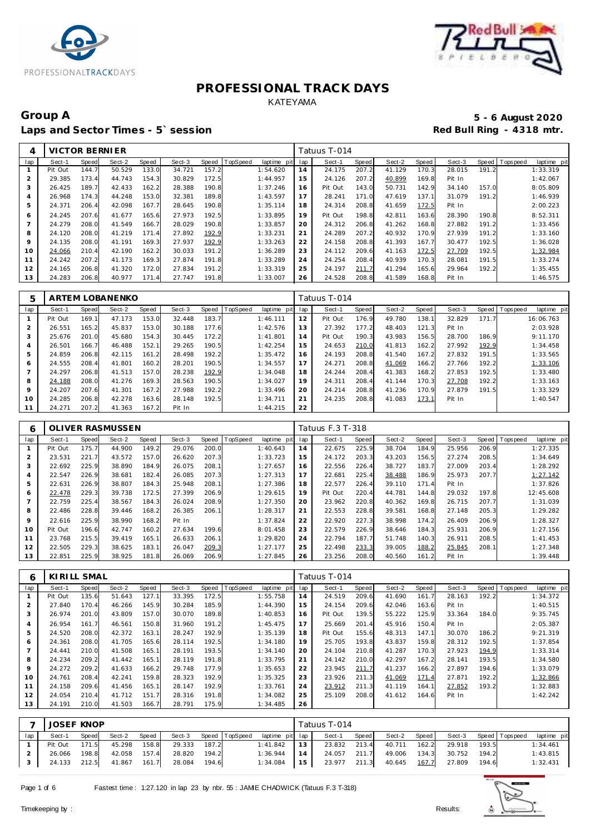



### Group A 5 - 6 August 2020<br>
Laps and Sector Times - 5`session **1990 and Sector Times - 5`session** Laps and Sector Times - 5' session

| 4   | VICTOR BERNIER |       |        |       |        |       |                 |                |     | Tatuus T-014 |       |        |       |        |       |                  |             |
|-----|----------------|-------|--------|-------|--------|-------|-----------------|----------------|-----|--------------|-------|--------|-------|--------|-------|------------------|-------------|
| lap | Sect-1         | Speed | Sect-2 | Speed | Sect-3 | Speed | <b>TopSpeed</b> | laptime<br>pit | lap | Sect-1       | Speed | Sect-2 | Speed | Sect-3 |       | Speed   Topspeed | laptime pit |
|     | Pit Out        | 144.7 | 50.529 | 133.0 | 34.721 | 157.2 |                 | 1:54.620       | 14  | 24.175       | 207.2 | 41.129 | 170.3 | 28.015 | 191.2 |                  | 1:33.319    |
| 2   | 29.385         | 173.4 | 44.743 | 154.3 | 30.829 | 172.5 |                 | 1:44.957       | 15  | 24.126       | 207.2 | 40.899 | 169.8 | Pit In |       |                  | 1:42.067    |
| 3   | 26.425         | 189.7 | 42.433 | 162.2 | 28.388 | 190.8 |                 | 1:37.246       | 16  | Pit Out      | 143.0 | 50.731 | 142.9 | 34.140 | 157.0 |                  | 8:05.809    |
| 4   | 26.968         | 174.3 | 44.248 | 153.0 | 32.381 | 189.8 |                 | 1:43.597       | 17  | 28.241       | 171.0 | 47.619 | 137.1 | 31.079 | 191.2 |                  | 1:46.939    |
| 5   | 24.371         | 206.4 | 42.098 | 167.7 | 28.645 | 190.8 |                 | 1:35.114       | 18  | 24.314       | 208.8 | 41.659 | 172.5 | Pit In |       |                  | 2:00.223    |
| 6   | 24.245         | 207.6 | 41.677 | 165.6 | 27.973 | 192.5 |                 | 1:33.895       | 19  | Pit Out      | 198.8 | 42.811 | 163.6 | 28.390 | 190.8 |                  | 8:52.311    |
|     | 24.279         | 208.0 | 41.549 | 166.7 | 28.029 | 190.8 |                 | 1:33.857       | 20  | 24.312       | 206.8 | 41.262 | 168.8 | 27.882 | 191.2 |                  | 1:33.456    |
| 8   | 24.120         | 208.0 | 41.219 | 171.4 | 27.892 | 192.9 |                 | 1:33.231       | 21  | 24.289       | 207.2 | 40.932 | 170.9 | 27.939 | 191.2 |                  | 1:33.160    |
| 9   | 24.135         | 208.0 | 41.191 | 169.3 | 27.937 | 192.9 |                 | 1:33.263       | 22  | 24.158       | 208.8 | 41.393 | 167.7 | 30.477 | 192.5 |                  | 1:36.028    |
| 10  | 24.066         | 210.4 | 42.190 | 162.2 | 30.033 | 191.2 |                 | 1:36.289       | 23  | 24.112       | 209.6 | 41.163 | 172.5 | 27.709 | 192.5 |                  | 1:32.984    |
| 11  | 24.242         | 207.2 | 41.173 | 169.3 | 27.874 | 191.8 |                 | 1:33.289       | 24  | 24.254       | 208.4 | 40.939 | 170.3 | 28.081 | 191.5 |                  | 1:33.274    |
| 12  | 24.165         | 206.8 | 41.320 | 172.0 | 27.834 | 191.2 |                 | 1:33.319       | 25  | 24.197       | 211.7 | 41.294 | 165.6 | 29.964 | 192.2 |                  | 1:35.455    |
| 13  | 24.283         | 206.8 | 40.977 | 171.4 | 27.747 | 191.8 |                 | 1:33.007       | 26  | 24.528       | 208.8 | 41.589 | 168.8 | Pit In |       |                  | 1:46.575    |

| 5       |         |       | ARTEM LOBANENKO |       |        |       |                |             |     | Tatuus T-014 |       |        |       |        |       |                               |
|---------|---------|-------|-----------------|-------|--------|-------|----------------|-------------|-----|--------------|-------|--------|-------|--------|-------|-------------------------------|
| lap     | Sect-1  | Speed | Sect-2          | Speed | Sect-3 |       | Speed TopSpeed | laptime pit | lap | Sect-1       | Speed | Sect-2 | Speed | Sect-3 |       | Speed Topspeed<br>laptime pit |
|         | Pit Out | 169.1 | 47.173          | 153.0 | 32.448 | 183.7 |                | 1:46.111    | 12  | Pit Out      | 176.9 | 49.780 | 138.1 | 32.829 | 171.7 | 16:06.763                     |
|         | 26.551  | 165.2 | 45.837          | 153.0 | 30.188 | 177.6 |                | 1:42.576    | 13  | 27.392       | 177.2 | 48.403 | 121.3 | Pit In |       | 2:03.928                      |
| 3       | 25.676  | 201.0 | 45.680          | 154.3 | 30.445 | 172.2 |                | 1:41.801    | 14  | Pit Out      | 190.3 | 43.983 | 156.5 | 28.700 | 186.9 | 9:11.170                      |
| 4       | 26.501  | 166.7 | 46.488          | 152.1 | 29.265 | 190.5 |                | 1:42.254    | 15  | 24.653       | 210.0 | 41.813 | 162.2 | 27.992 | 192.9 | 1:34.458                      |
| 5       | 24.859  | 206.8 | 42.115          | 161.2 | 28.498 | 192.2 |                | 1:35.472    | 16  | 24.193       | 208.8 | 41.540 | 167.2 | 27.832 | 191.5 | 1:33.565                      |
| 6       | 24.555  | 208.4 | 41.801          | 160.2 | 28.201 | 190.5 |                | 1:34.557    | 17  | 24.271       | 208.8 | 41.069 | 166.2 | 27.766 | 192.2 | 1:33.106                      |
|         | 24.297  | 206.8 | 41.513          | 157.0 | 28.238 | 192.9 |                | 1:34.048    | 18  | 24.244       | 208.4 | 41.383 | 168.2 | 27.853 | 192.5 | 1:33.480                      |
| 8       | 24.188  | 208.0 | 41.276          | 169.3 | 28.563 | 190.5 |                | 1:34.027    | 19  | 24.311       | 208.4 | 41.144 | 170.3 | 27.708 | 192.2 | 1:33.163                      |
| $\circ$ | 24.207  | 207.6 | 41.301          | 167.2 | 27.988 | 192.2 |                | 1:33.496    | 20  | 24.214       | 208.8 | 41.236 | 170.9 | 27.879 | 191.5 | 1:33.329                      |
| 10      | 24.285  | 206.8 | 42.278          | 163.6 | 28.148 | 192.5 |                | 1:34.711    | 21  | 24.235       | 208.8 | 41.083 | 173.1 | Pit In |       | 1:40.547                      |
| 11      | 24.271  | 207.2 | 41.363          | 167.2 | Pit In |       |                | 1:44.215    | 22  |              |       |        |       |        |       |                               |

| 6   |         |       | <b>OLIVER RASMUSSEN</b> |       |        |       |          |             |     | Tatuus F.3 T-318 |       |        |       |        |              |           |             |
|-----|---------|-------|-------------------------|-------|--------|-------|----------|-------------|-----|------------------|-------|--------|-------|--------|--------------|-----------|-------------|
| lap | Sect-1  | Speed | Sect-2                  | Speed | Sect-3 | Speed | TopSpeed | laptime pit | lap | Sect-1           | Speed | Sect-2 | Speed | Sect-3 | <b>Speed</b> | Tops peed | laptime pit |
|     | Pit Out | 175.7 | 44.900                  | 149.2 | 29.076 | 200.0 |          | 1:40.643    | 14  | 22.675           | 225.9 | 38.704 | 184.9 | 25.956 | 206.9        |           | 1:27.335    |
| 2   | 23.531  | 221.7 | 43.572                  | 157.0 | 26.620 | 207.3 |          | 1:33.723    | 15  | 24.172           | 203.3 | 43.203 | 156.5 | 27.274 | 208.5        |           | 1:34.649    |
| 3   | 22.692  | 225.9 | 38.890                  | 184.9 | 26.075 | 208.1 |          | 1:27.657    | 16  | 22.556           | 226.4 | 38.727 | 183.7 | 27.009 | 203.4        |           | 1:28.292    |
| 4   | 22.547  | 226.9 | 38.681                  | 182.4 | 26.085 | 207.3 |          | 1:27.313    | 17  | 22.681           | 225.4 | 38.488 | 186.9 | 25.973 | 207.7        |           | 1:27.142    |
| 5   | 22.631  | 226.9 | 38.807                  | 184.3 | 25.948 | 208.7 |          | 1:27.386    | 18  | 22.577           | 226.4 | 39.110 | 171.4 | Pit In |              |           | 1:37.826    |
| 6   | 22.478  | 229.3 | 39.738                  | 172.5 | 27.399 | 206.9 |          | 1:29.615    | 19  | Pit Out          | 220.4 | 44.781 | 144.8 | 29.032 | 197.8        |           | 12:45.608   |
|     | 22.759  | 225.4 | 38.567                  | 184.3 | 26.024 | 208.9 |          | 1:27.350    | 20  | 23.962           | 220.8 | 40.362 | 169.8 | 26.715 | 207.7        |           | 1:31.039    |
| 8   | 22.486  | 228.8 | 39.446                  | 168.2 | 26.385 | 206.7 |          | 1:28.317    | 21  | 22.553           | 228.8 | 39.581 | 168.8 | 27.148 | 205.3        |           | 1:29.282    |
| 9   | 22.616  | 225.9 | 38.990                  | 168.2 | Pit In |       |          | 1:37.824    | 22  | 22.920           | 227.3 | 38.998 | 174.2 | 26.409 | 206.9        |           | 1:28.327    |
| 10  | Pit Out | 196.6 | 42.747                  | 160.2 | 27.634 | 199.6 |          | 8:01.458    | 23  | 22.579           | 226.9 | 38.646 | 184.3 | 25.931 | 206.9        |           | 1:27.156    |
| 11  | 23.768  | 215.5 | 39.419                  | 165.1 | 26.633 | 206.7 |          | 1:29.820    | 24  | 22.794           | 187.7 | 51.748 | 140.3 | 26.911 | 208.5        |           | 1:41.453    |
| 12  | 22.505  | 229.3 | 38.625                  | 183.1 | 26.047 | 209.3 |          | 1:27.177    | 25  | 22.498           | 233.3 | 39.005 | 188.2 | 25.845 | 208.1        |           | 1:27.348    |
| 13  | 22.851  | 225.9 | 38.925                  | 181.8 | 26.069 | 206.9 |          | 1:27.845    | 26  | 23.256           | 208.0 | 40.560 | 161.2 | Pit In |              |           | 1:39.448    |

| 6   | KIRILL SMAL |       |        |       |        |       |          |                 |     | Tatuus T-014 |       |        |       |        |       |                |             |
|-----|-------------|-------|--------|-------|--------|-------|----------|-----------------|-----|--------------|-------|--------|-------|--------|-------|----------------|-------------|
| lap | Sect-1      | Speed | Sect-2 | Speed | Sect-3 | Speed | TopSpeed | laptime<br>pitl | lap | Sect-1       | Speed | Sect-2 | Speed | Sect-3 |       | Speed Topspeed | laptime pit |
|     | Pit Out     | 135.6 | 51.643 | 127.1 | 33.395 | 172.5 |          | 1:55.758        | 14  | 24.519       | 209.6 | 41.690 | 161.7 | 28.163 | 192.2 |                | 1:34.372    |
|     | 27.840      | 170.4 | 46.266 | 145.9 | 30.284 | 185.9 |          | 1:44.390        | 15  | 24.154       | 209.6 | 42.046 | 163.6 | Pit In |       |                | 1:40.515    |
| 3   | 26.974      | 201.0 | 43.809 | 157.0 | 30.070 | 189.8 |          | 1:40.853        | 16  | Pit Out      | 139.5 | 55.222 | 125.9 | 33.364 | 184.0 |                | 9:35.745    |
| 4   | 26.954      | 161.7 | 46.561 | 150.8 | 31.960 | 191.2 |          | 1:45.475        | 17  | 25.669       | 201.4 | 45.916 | 150.4 | Pit In |       |                | 2:05.387    |
| 5   | 24.520      | 208.0 | 42.372 | 163.1 | 28.247 | 192.9 |          | 1:35.139        | 18  | Pit Out      | 155.6 | 48.313 | 147.1 | 30.070 | 186.2 |                | 9:21.319    |
| 6   | 24.361      | 208.0 | 41.705 | 165.6 | 28.114 | 192.5 |          | 1:34.180        | 19  | 25.705       | 193.8 | 43.837 | 159.8 | 28.312 | 192.5 |                | 1:37.854    |
|     | 24.441      | 210.0 | 41.508 | 165.1 | 28.191 | 193.5 |          | 1:34.140        | 20  | 24.104       | 210.8 | 41.287 | 170.3 | 27.923 | 194.9 |                | 1:33.314    |
| 8   | 24.234      | 209.2 | 41.442 | 165.1 | 28.119 | 191.8 |          | 1:33.795        | 21  | 24.142       | 210.0 | 42.297 | 167.2 | 28.141 | 193.5 |                | 1:34.580    |
| 9   | 24.272      | 209.2 | 41.633 | 166.2 | 29.748 | 177.9 |          | 1:35.653        | 22  | 23.945       | 211.7 | 41.237 | 166.2 | 27.897 | 194.6 |                | 1:33.079    |
| 10  | 24.761      | 208.4 | 42.241 | 159.8 | 28.323 | 192.9 |          | 1:35.325        | 23  | 23.926       | 211.3 | 41.069 | 171.4 | 27.871 | 192.2 |                | 1:32.866    |
| 11  | 24.158      | 209.6 | 41.456 | 165.1 | 28.147 | 192.9 |          | 1:33.761        | 24  | 23.912       | 211.3 | 41.119 | 164.1 | 27.852 | 193.2 |                | 1:32.883    |
| 12  | 24.054      | 210.4 | 41.712 | 151.7 | 28.316 | 191.8 |          | 1:34.082        | 25  | 25.109       | 208.0 | 41.612 | 164.6 | Pit In |       |                | 1:42.242    |
| 13  | 24.191      | 210.0 | 41.503 | 166.7 | 28.791 | 175.9 |          | 1:34.485        | 26  |              |       |        |       |        |       |                |             |

| <b>JOSEF KNOP</b> |       |              |       |        |       |                       |                 |      | Tatuus T-014 |       |              |       |        |       |                       |             |
|-------------------|-------|--------------|-------|--------|-------|-----------------------|-----------------|------|--------------|-------|--------------|-------|--------|-------|-----------------------|-------------|
| Sect-1            | Speed | Sect-2       | Speed |        |       | Sect-3 Speed TopSpeed | laptime pit lap |      | Sect-1       | Speed | Sect-2 Speed |       |        |       | Sect-3 Speed Topspeed | laptime pit |
| Pit Out           | 171.5 | 45.298       | 158.8 | 29.333 | 187.2 |                       | 1:41.842        | 13 I | 23.832       | 213.4 | 40.711       | 162.2 | 29.918 | 193.5 |                       | 1:34.461    |
| 26.066            | 198.8 | 42.058       | 157.4 | 28.820 | 194.2 |                       | 1:36.944        | 14 I | 24.057 211.7 |       | 49.006       | 134.3 | 30.752 | 194.2 |                       | 1:43.815    |
| 24.133 212.5      |       | 41.867 161.7 |       | 28.084 | 194.6 |                       | 1:34.084        | 15   | 23.977 211.3 |       | 40.645       | 167.7 | 27.809 | 194.6 |                       | 1:32.431    |

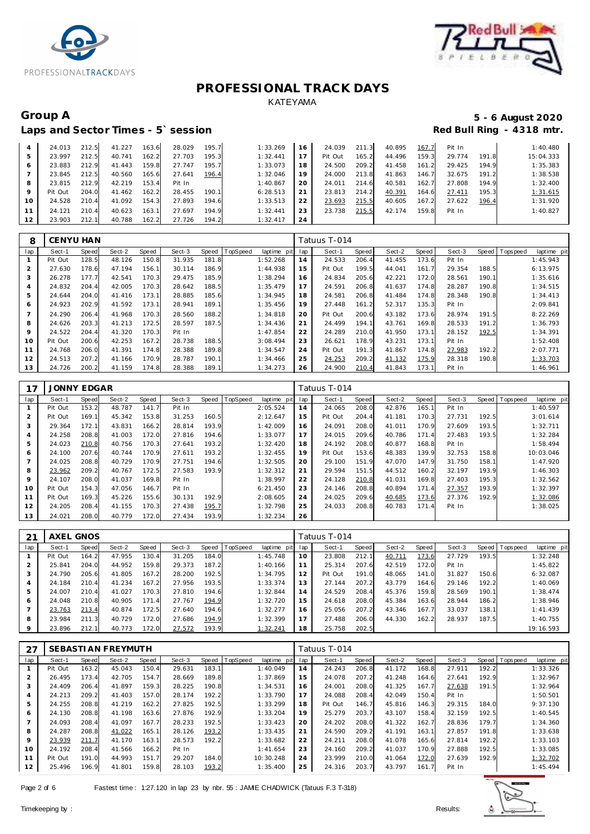



# Group A 5 - 6 August 2020<br>
Laps and Sector Times - 5`session **1990 and Sector Times - 5`session**

### Laps and Sector Times - 5' session

|    | 24.013  | 212.5 | 41.227 | 163.6 | 28.029 | 195.7 | 1:33.269 | 16        | 24.039  | 211.3 | 40.895 | 167.7 | Pit In |       | 1:40.480  |
|----|---------|-------|--------|-------|--------|-------|----------|-----------|---------|-------|--------|-------|--------|-------|-----------|
|    | 23.997  | 212.5 | 40.741 | 162.2 | 27.703 | 195.3 | 1:32.441 |           | Pit Out | 165.2 | 44.496 | 159.3 | 29.774 | 191.8 | 15:04.333 |
|    | 23.883  | 212.9 | 41.443 | 159.8 | 27.747 | 195.7 | 1:33.073 | 18        | 24.500  | 209.2 | 41.458 | 161.2 | 29.425 | 194.9 | 1:35.383  |
|    | 23.845  | 212.5 | 40.560 | 165.6 | 27.641 | 196.4 | 1:32.046 | 19        | 24.000  | 213.8 | 41.863 | 146.7 | 32.675 | 191.2 | 1:38.538  |
| 8  | 23.815  | 212.9 | 42.219 | 153.4 | Pit In |       | 1:40.867 | <b>20</b> | 24.011  | 214.6 | 40.581 | 162.7 | 27.808 | 194.9 | 1:32.400  |
|    | Pit Out | 204.0 | 41.462 | 162.2 | 28.455 | 190.1 | 6:28.513 | 21        | 23.813  | 214.2 | 40.391 | 164.6 | 27.411 | 195.3 | 1:31.615  |
| 10 | 24.528  | 210.4 | 41.092 | 154.3 | 27.893 | 194.6 | 1:33.513 | 22        | 23.693  | 215.5 | 40.605 | 167.2 | 27.622 | 196.4 | 1:31.920  |
|    | 24.121  | 210.4 | 40.623 | 163.1 | 27.697 | 194.9 | 1:32.441 | -23       | 23.738  | 215.5 | 42.174 | 159.8 | Pit In |       | 1:40.827  |
|    | 23.903  | 212.1 | 40.788 | 162.2 | 27.726 | 194.2 | 1:32.417 | 24        |         |       |        |       |        |       |           |

| 8              | CENYU HAN |       |        |       |        |       |          |             |     | Tatuus T-014 |       |        |       |        |       |                |             |
|----------------|-----------|-------|--------|-------|--------|-------|----------|-------------|-----|--------------|-------|--------|-------|--------|-------|----------------|-------------|
| lap            | Sect-1    | Speed | Sect-2 | Speed | Sect-3 | Speed | TopSpeed | laptime pit | lap | Sect-1       | Speed | Sect-2 | Speed | Sect-3 |       | Speed Topspeed | laptime pit |
|                | Pit Out   | 128.5 | 48.126 | 150.8 | 31.935 | 181.8 |          | 1:52.268    | 14  | 24.533       | 206.4 | 41.455 | 173.6 | Pit In |       |                | 1:45.943    |
| $\overline{a}$ | 27.630    | 178.6 | 47.194 | 156.1 | 30.114 | 186.9 |          | 1:44.938    | 15  | Pit Out      | 199.5 | 44.041 | 161.7 | 29.354 | 188.5 |                | 6:13.975    |
| 3              | 26.278    | 177.7 | 42.541 | 170.3 | 29.475 | 185.9 |          | 1:38.294    | 16  | 24.834       | 205.6 | 42.221 | 172.0 | 28.561 | 190.1 |                | 1:35.616    |
| $\overline{4}$ | 24.832    | 204.4 | 42.005 | 170.3 | 28.642 | 188.5 |          | 1:35.479    | 17  | 24.591       | 206.8 | 41.637 | 174.8 | 28.287 | 190.8 |                | 1:34.515    |
| 5              | 24.644    | 204.0 | 41.416 | 173.1 | 28.885 | 185.6 |          | 1:34.945    | 18  | 24.581       | 206.8 | 41.484 | 174.8 | 28.348 | 190.8 |                | 1:34.413    |
| 6              | 24.923    | 202.9 | 41.592 | 173.1 | 28.941 | 189.1 |          | 1:35.456    | 19  | 27.448       | 161.2 | 52.317 | 135.3 | Pit In |       |                | 2:09.841    |
| $\overline{7}$ | 24.290    | 206.4 | 41.968 | 170.3 | 28.560 | 188.2 |          | 1:34.818    | 20  | Pit Out      | 200.6 | 43.182 | 173.6 | 28.974 | 191.5 |                | 8:22.269    |
| 8              | 24.626    | 203.3 | 41.213 | 172.5 | 28.597 | 187.5 |          | 1:34.436    | 21  | 24.499       | 194.1 | 43.761 | 169.8 | 28.533 | 191.2 |                | 1:36.793    |
| 9              | 24.522    | 204.4 | 41.320 | 170.3 | Pit In |       |          | 1:47.854    | 22  | 24.289       | 210.0 | 41.950 | 173.1 | 28.152 | 192.5 |                | 1:34.391    |
| 10             | Pit Out   | 200.6 | 42.253 | 167.2 | 28.738 | 188.5 |          | 3:08.494    | 23  | 26.621       | 178.9 | 43.231 | 173.1 | Pit In |       |                | 1:52.408    |
| 11             | 24.768    | 206.0 | 41.391 | 174.8 | 28.388 | 189.8 |          | 1:34.547    | 24  | Pit Out      | 191.3 | 41.867 | 174.8 | 27.983 | 192.2 |                | 2:07.771    |
| 12             | 24.513    | 207.2 | 41.166 | 170.9 | 28.787 | 190.1 |          | 1:34.466    | 25  | 24.253       | 209.2 | 41.132 | 175.9 | 28.318 | 190.8 |                | 1:33.703    |
| 13             | 24.726    | 200.2 | 41.159 | 174.8 | 28.388 | 189.1 |          | 1:34.273    | 26  | 24.900       | 210.4 | 41.843 | 173.1 | Pit In |       |                | 1:46.961    |

|                | <b>JONNY EDGAR</b> |       |        |       |        |       |                |             |     | Tatuus T-014 |       |        |       |        |       |                                    |
|----------------|--------------------|-------|--------|-------|--------|-------|----------------|-------------|-----|--------------|-------|--------|-------|--------|-------|------------------------------------|
| lap            | Sect-1             | Speed | Sect-2 | Speed | Sect-3 |       | Speed TopSpeed | laptime pit | lap | Sect-1       | Speed | Sect-2 | Speed | Sect-3 |       | Speed   Topspeed<br>laptime<br>pit |
|                | Pit Out            | 153.2 | 48.787 | 141.7 | Pit In |       |                | 2:05.524    | 14  | 24.065       | 208.0 | 42.876 | 165.1 | Pit In |       | 1:40.597                           |
| $\overline{2}$ | Pit Out            | 169.1 | 45.342 | 153.8 | 31.253 | 160.5 |                | 2:12.647    | 15  | Pit Out      | 204.4 | 41.181 | 170.3 | 27.731 | 192.5 | 3:01.614                           |
| 3              | 29.364             | 172.1 | 43.831 | 166.2 | 28.814 | 193.9 |                | 1:42.009    | 16  | 24.091       | 208.0 | 41.011 | 170.9 | 27.609 | 193.5 | 1:32.711                           |
| 4              | 24.258             | 208.8 | 41.003 | 172.0 | 27.816 | 194.6 |                | 1:33.077    | 17  | 24.015       | 209.6 | 40.786 | 171.4 | 27.483 | 193.5 | 1:32.284                           |
| 5              | 24.023             | 210.8 | 40.756 | 170.3 | 27.641 | 193.2 |                | 1:32.420    | 18  | 24.192       | 208.0 | 40.877 | 168.8 | Pit In |       | 1:58.494                           |
| 6              | 24.100             | 207.6 | 40.744 | 170.9 | 27.611 | 193.2 |                | 1:32.455    | 19  | Pit Out      | 153.6 | 48.383 | 139.9 | 32.753 | 158.8 | 10:03.046                          |
|                | 24.025             | 208.8 | 40.729 | 170.9 | 27.751 | 194.6 |                | 1:32.505    | 20  | 29.100       | 151.9 | 47.070 | 147.9 | 31.750 | 158.1 | 1:47.920                           |
| 8              | 23.962             | 209.2 | 40.767 | 172.5 | 27.583 | 193.9 |                | 1:32.312    | 21  | 29.594       | 151.5 | 44.512 | 160.2 | 32.197 | 193.9 | 1:46.303                           |
| 9              | 24.107             | 208.0 | 41.037 | 169.8 | Pit In |       |                | 1:38.997    | 22  | 24.128       | 210.8 | 41.031 | 169.8 | 27.403 | 195.3 | 1:32.562                           |
| 10             | Pit Out            | 154.3 | 47.056 | 146.7 | Pit In |       |                | 6:21.450    | 23  | 24.146       | 208.8 | 40.894 | 171.4 | 27.357 | 193.9 | 1:32.397                           |
| 11             | Pit Out            | 169.3 | 45.226 | 155.6 | 30.131 | 192.9 |                | 2:08.605    | 24  | 24.025       | 209.6 | 40.685 | 173.6 | 27.376 | 192.9 | 1:32.086                           |
| 12             | 24.205             | 208.4 | 41.155 | 170.3 | 27.438 | 195.7 |                | 1:32.798    | 25  | 24.033       | 208.8 | 40.783 | 171.4 | Pit In |       | 1:38.025                           |
| 13             | 24.021             | 208.0 | 40.779 | 172.0 | 27.434 | 193.9 |                | 1:32.234    | 26  |              |       |        |       |        |       |                                    |

| 21      | AXEL GNOS |            |        |       |        |       |          |             |     | Tatuus T-014 |       |        |       |        |       |                |             |
|---------|-----------|------------|--------|-------|--------|-------|----------|-------------|-----|--------------|-------|--------|-------|--------|-------|----------------|-------------|
| lap     | Sect-1    | Speed      | Sect-2 | Speed | Sect-3 | Speed | TopSpeed | laptime pit | lap | Sect-1       | Speed | Sect-2 | Speed | Sect-3 |       | Speed Topspeed | laptime pit |
|         | Pit Out   | 164.2      | 47.955 | 130.4 | 31.205 | 184.0 |          | 1:45.748    | 10  | 23.808       | 212.1 | 40.711 | 173.6 | 27.729 | 193.5 |                | 1:32.248    |
|         | 25.841    | 204.0      | 44.952 | 159.8 | 29.373 | 187.2 |          | 1:40.166    |     | 25.314       | 207.6 | 42.519 | 172.0 | Pit In |       |                | 1:45.822    |
| 3       | 24.790    | 205.6      | 41.805 | 167.2 | 28.200 | 192.5 |          | 1:34.795    | 12  | Pit Out      | 191.0 | 48.065 | 141.0 | 31.827 | 150.6 |                | 6:32.087    |
| 4       | 24.184    | 210.4      | 41.234 | 167.2 | 27.956 | 193.5 |          | 1:33.374    | 13  | 27.144       | 207.2 | 43.779 | 164.6 | 29.146 | 192.2 |                | 1:40.069    |
| 5       | 24.007    | 210.4      | 41.027 | 170.3 | 27.810 | 194.6 |          | 1:32.844    | 14  | 24.529       | 208.4 | 45.376 | 159.8 | 28.569 | 190.1 |                | 1:38.474    |
| 6       | 24.048    | 210.8      | 40.905 | 171.4 | 27.767 | 194.9 |          | 1:32.720    | 15  | 24.618       | 208.0 | 45.384 | 163.6 | 28.944 | 186.2 |                | 1:38.946    |
|         | 23.763    | 213.4      | 40.874 | 172.5 | 27.640 | 194.6 |          | 1:32.277    | 16  | 25.056       | 207.2 | 43.346 | 167.7 | 33.037 | 138.1 |                | 1:41.439    |
| 8       | 23.984    | 211<br>1.3 | 40.729 | 172.0 | 27.686 | 194.9 |          | 1:32.399    | 17  | 27.488       | 206.0 | 44.330 | 162.2 | 28.937 | 187.5 |                | 1:40.755    |
| $\circ$ | 23.896    | 212.1      | 40.773 | 172.0 | 27.572 | 193.9 |          | 1:32.241    | 18  | 25.758       | 202.5 |        |       |        |       |                | 19:16.593   |

| 27             |         |       | SEBASTI AN FREYMUTH |       |        |       |          |             |     | Tatuus T-014 |       |        |       |        |       |           |             |
|----------------|---------|-------|---------------------|-------|--------|-------|----------|-------------|-----|--------------|-------|--------|-------|--------|-------|-----------|-------------|
| lap            | Sect-1  | Speed | Sect-2              | Speed | Sect-3 | Speed | TopSpeed | laptime pit | lap | Sect-1       | Speed | Sect-2 | Speed | Sect-3 | Speed | Tops peed | laptime pit |
|                | Pit Out | 163.2 | 45.043              | 150.4 | 29.631 | 183.1 |          | 1:40.049    | 14  | 24.243       | 206.8 | 41.172 | 168.8 | 27.911 | 192.2 |           | 1:33.326    |
| 2              | 26.495  | 173.4 | 42.705              | 154.7 | 28.669 | 189.8 |          | 1:37.869    | 15  | 24.078       | 207.2 | 41.248 | 164.6 | 27.641 | 192.9 |           | 1:32.967    |
| 3              | 24.409  | 206.4 | 41.897              | 159.3 | 28.225 | 190.8 |          | 1:34.531    | 16  | 24.001       | 208.0 | 41.325 | 167.7 | 27.638 | 191.5 |           | 1:32.964    |
| 4              | 24.213  | 209.2 | 41.403              | 157.0 | 28.174 | 192.2 |          | 1:33.790    | 17  | 24.088       | 208.4 | 42.049 | 150.4 | Pit In |       |           | 1:50.501    |
| 5              | 24.255  | 208.8 | 41.219              | 162.2 | 27.825 | 192.5 |          | 1:33.299    | 18  | Pit Out      | 146.7 | 45.816 | 146.3 | 29.315 | 184.0 |           | 9:37.130    |
| 6              | 24.130  | 208.8 | 41.198              | 163.6 | 27.876 | 192.9 |          | 1:33.204    | 19  | 25.279       | 203.7 | 43.107 | 158.4 | 32.159 | 192.5 |           | 1:40.545    |
| $\overline{7}$ | 24.093  | 208.4 | 41.097              | 167.7 | 28.233 | 192.5 |          | 1:33.423    | 20  | 24.202       | 208.0 | 41.322 | 162.7 | 28.836 | 179.7 |           | 1:34.360    |
| 8              | 24.287  | 208.8 | 41.022              | 165.1 | 28.126 | 193.2 |          | 1:33.435    | 21  | 24.590       | 209.2 | 41.191 | 163.1 | 27.857 | 191.8 |           | 1:33.638    |
| 9              | 23.939  | 211.7 | 41.170              | 163.1 | 28.573 | 192.2 |          | 1:33.682    | 22  | 24.211       | 208.0 | 41.078 | 165.6 | 27.814 | 192.2 |           | 1:33.103    |
| 10             | 24.192  | 208.4 | 41.566              | 166.2 | Pit In |       |          | 1:41.654    | 23  | 24.160       | 209.2 | 41.037 | 170.9 | 27.888 | 192.5 |           | 1:33.085    |
| 11             | Pit Out | 191.0 | 44.993              | 151.7 | 29.207 | 184.0 |          | 10:30.248   | 24  | 23.999       | 210.0 | 41.064 | 172.0 | 27.639 | 192.9 |           | 1:32.702    |
| 12             | 25.496  | 196.9 | 41.801              | 159.8 | 28.103 | 193.2 |          | 1:35.400    | 25  | 24.316       | 203.7 | 43.797 | 161.7 | Pit In |       |           | 1:45.494    |

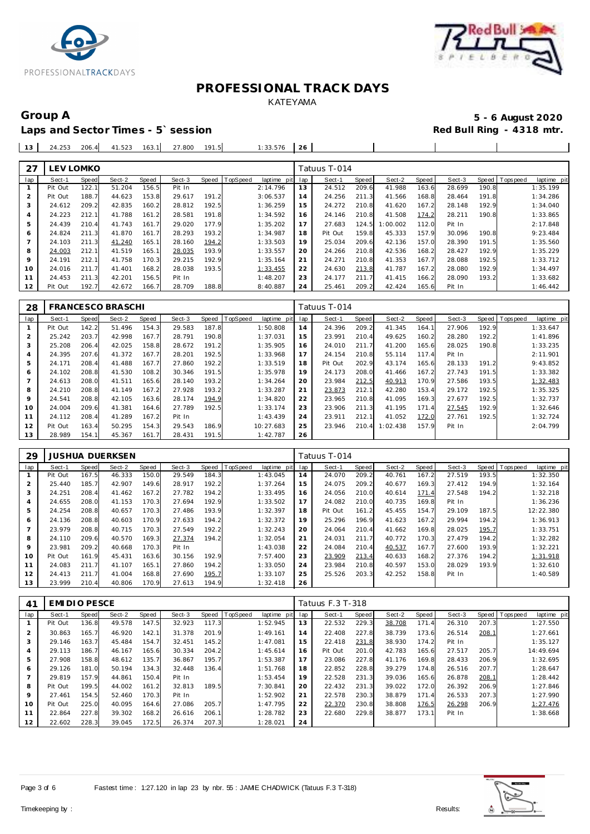



## Laps and Sector Times - 5' session

Group A 5 - 6 August 2020<br>
Laps and Sector Times - 5`session **1990 and Sector Times - 5`session** 

|  |  |  | 13   24.253 206.4   41.523 163.1   27.800 191.5   1:33.576   26 |  |  |  |
|--|--|--|-----------------------------------------------------------------|--|--|--|
|  |  |  |                                                                 |  |  |  |

| 27             | LEV LOMKO |       |        |       |        |       |                |             |     | Tatuus T-014 |       |          |       |        |       |                 |             |
|----------------|-----------|-------|--------|-------|--------|-------|----------------|-------------|-----|--------------|-------|----------|-------|--------|-------|-----------------|-------------|
| lap            | Sect-1    | Speed | Sect-2 | Speed | Sect-3 |       | Speed TopSpeed | laptime pit | lap | Sect-1       | Speed | Sect-2   | Speed | Sect-3 |       | Speed Tops peed | laptime pit |
|                | Pit Out   | 122.1 | 51.204 | 156.5 | Pit In |       |                | 2:14.796    | 13  | 24.512       | 209.6 | 41.988   | 163.6 | 28.699 | 190.8 |                 | 1:35.199    |
| $\overline{2}$ | Pit Out   | 188.7 | 44.623 | 153.8 | 29.617 | 191.2 |                | 3:06.537    | 14  | 24.256       | 211.3 | 41.566   | 168.8 | 28.464 | 191.8 |                 | 1:34.286    |
| 3              | 24.612    | 209.2 | 42.835 | 160.2 | 28.812 | 192.5 |                | 1:36.259    | 15  | 24.272       | 210.8 | 41.620   | 167.2 | 28.148 | 192.9 |                 | 1:34.040    |
| 4              | 24.223    | 212.1 | 41.788 | 161.2 | 28.581 | 191.8 |                | 1:34.592    | 16  | 24.146       | 210.8 | 41.508   | 174.2 | 28.211 | 190.8 |                 | 1:33.865    |
| 5              | 24.439    | 210.4 | 41.743 | 161.7 | 29.020 | 177.9 |                | 1:35.202    | 17  | 27.683       | 124.5 | 1:00.002 | 112.0 | Pit In |       |                 | 2:17.848    |
| 6              | 24.824    | 211.3 | 41.870 | 161.7 | 28.293 | 193.2 |                | 1:34.987    | 18  | Pit Out      | 159.8 | 45.333   | 157.9 | 30.096 | 190.8 |                 | 9:23.484    |
|                | 24.103    | 211.3 | 41.240 | 165.1 | 28.160 | 194.2 |                | 1:33.503    | 19  | 25.034       | 209.6 | 42.136   | 157.0 | 28.390 | 191.5 |                 | 1:35.560    |
| 8              | 24.003    | 212.1 | 41.519 | 165.1 | 28.035 | 193.9 |                | 1:33.557    | 20  | 24.266       | 210.8 | 42.536   | 168.2 | 28.427 | 192.9 |                 | 1:35.229    |
| 9              | 24.191    | 212.1 | 41.758 | 170.3 | 29.215 | 192.9 |                | 1:35.164    | 21  | 24.271       | 210.8 | 41.353   | 167.7 | 28.088 | 192.5 |                 | 1:33.712    |
| 10             | 24.016    | 211.7 | 41.401 | 168.2 | 28.038 | 193.5 |                | 1:33.455    | 22  | 24.630       | 213.8 | 41.787   | 167.2 | 28.080 | 192.9 |                 | 1:34.497    |
| 11             | 24.453    | 211.3 | 42.201 | 156.5 | Pit In |       |                | 1:48.207    | 23  | 24.177       | 211.7 | 41.415   | 166.2 | 28.090 | 193.2 |                 | 1:33.682    |
| 12             | Pit Out   | 192.7 | 42.672 | 166.7 | 28.709 | 188.8 |                | 8:40.887    | 24  | 25.461       | 209.2 | 42.424   | 165.6 | Pit In |       |                 | 1:46.442    |

| 28  |         |              | <b>FRANCESCO BRASCHI</b> |       |        |       |          |             |     | Tatuus T-014 |       |          |       |        |       |                 |             |
|-----|---------|--------------|--------------------------|-------|--------|-------|----------|-------------|-----|--------------|-------|----------|-------|--------|-------|-----------------|-------------|
| lap | Sect-1  | <b>Speed</b> | Sect-2                   | Speed | Sect-3 | Speed | TopSpeed | laptime pit | lap | Sect-1       | Speed | Sect-2   | Speed | Sect-3 |       | Speed Tops peed | laptime pit |
|     | Pit Out | 142.2        | 51.496                   | 154.3 | 29.583 | 187.8 |          | 1:50.808    | 14  | 24.396       | 209.2 | 41.345   | 164.1 | 27.906 | 192.9 |                 | 1:33.647    |
| 2   | 25.242  | 203.7        | 42.998                   | 167.7 | 28.791 | 190.8 |          | 1:37.031    | 15  | 23.991       | 210.4 | 49.625   | 160.2 | 28.280 | 192.2 |                 | 1:41.896    |
| 3   | 25.208  | 206.4        | 42.025                   | 158.8 | 28.672 | 191.2 |          | 1:35.905    | 16  | 24.010       | 211.7 | 41.200   | 165.6 | 28.025 | 190.8 |                 | 1:33.235    |
| 4   | 24.395  | 207.6        | 41.372                   | 167.7 | 28.201 | 192.5 |          | 1:33.968    | 17  | 24.154       | 210.8 | 55.114   | 117.4 | Pit In |       |                 | 2:11.901    |
| 5   | 24.171  | 208.4        | 41.488                   | 167.7 | 27.860 | 192.2 |          | 1:33.519    | 18  | Pit Out      | 202.9 | 43.174   | 165.6 | 28.133 | 191.2 |                 | 9:43.852    |
| 6   | 24.102  | 208.8        | 41.530                   | 108.2 | 30.346 | 191.5 |          | 1:35.978    | 19  | 24.173       | 208.0 | 41.466   | 167.2 | 27.743 | 191.5 |                 | 1:33.382    |
|     | 24.613  | 208.0        | 41.511                   | 165.6 | 28.140 | 193.2 |          | 1:34.264    | 20  | 23.984       | 212.5 | 40.913   | 170.9 | 27.586 | 193.5 |                 | 1:32.483    |
| 8   | 24.210  | 208.8        | 41.149                   | 167.2 | 27.928 | 193.2 |          | 1:33.287    | 21  | 23.873       | 212.1 | 42.280   | 153.4 | 29.172 | 192.5 |                 | 1:35.325    |
| 9   | 24.541  | 208.8        | 42.105                   | 163.6 | 28.174 | 194.9 |          | 1:34.820    | 22  | 23.965       | 210.8 | 41.095   | 169.3 | 27.677 | 192.5 |                 | 1:32.737    |
| 10  | 24.004  | 209.6        | 41.381                   | 164.6 | 27.789 | 192.5 |          | 1:33.174    | 23  | 23.906       | 211.3 | 41.195   | 171.4 | 27.545 | 192.9 |                 | 1:32.646    |
| 11  | 24.112  | 208.4        | 41.289                   | 167.2 | Pit In |       |          | 1:43.439    | 24  | 23.911       | 212.1 | 41.052   | 172.0 | 27.761 | 192.5 |                 | 1:32.724    |
| 12  | Pit Out | 163.4        | 50.295                   | 154.3 | 29.543 | 186.9 |          | 10:27.683   | 25  | 23.946       | 210.4 | 1:02.438 | 157.9 | Pit In |       |                 | 2:04.799    |
| 13  | 28.989  | 154.1        | 45.367                   | 161.7 | 28.431 | 191.5 |          | 1:42.787    | 26  |              |       |          |       |        |       |                 |             |

| 29             |         |       | <b>JUSHUA DUERKSEN</b> |       |        |       |          |             |     | Tatuus T-014 |       |        |       |        |       |                               |
|----------------|---------|-------|------------------------|-------|--------|-------|----------|-------------|-----|--------------|-------|--------|-------|--------|-------|-------------------------------|
| lap            | Sect-1  | Speed | Sect-2                 | Speed | Sect-3 | Speed | TopSpeed | laptime pit | lap | Sect-1       | Speed | Sect-2 | Speed | Sect-3 |       | Speed Topspeed<br>laptime pit |
|                | Pit Out | 167.5 | 46.333                 | 150.0 | 29.549 | 184.3 |          | 1:43.045    | 14  | 24.070       | 209.2 | 40.761 | 167.2 | 27.519 | 193.5 | 1:32.350                      |
| $\overline{2}$ | 25.440  | 185.7 | 42.907                 | 149.6 | 28.917 | 192.2 |          | 1:37.264    | 15  | 24.075       | 209.2 | 40.677 | 169.3 | 27.412 | 194.9 | 1:32.164                      |
| 3              | 24.251  | 208.4 | 41.462                 | 167.2 | 27.782 | 194.2 |          | 1:33.495    | 16  | 24.056       | 210.0 | 40.614 | 171.4 | 27.548 | 194.2 | 1:32.218                      |
| 4              | 24.655  | 208.0 | 41.153                 | 170.3 | 27.694 | 192.9 |          | 1:33.502    | 17  | 24.082       | 210.0 | 40.735 | 169.8 | Pit In |       | 1:36.236                      |
| 5              | 24.254  | 208.8 | 40.657                 | 170.3 | 27.486 | 193.9 |          | 1:32.397    | 18  | Pit Out      | 161.2 | 45.455 | 154.7 | 29.109 | 187.5 | 12:22.380                     |
| 6              | 24.136  | 208.8 | 40.603                 | 170.9 | 27.633 | 194.2 |          | 1:32.372    | 19  | 25.296       | 196.9 | 41.623 | 167.2 | 29.994 | 194.2 | 1:36.913                      |
|                | 23.979  | 208.8 | 40.715                 | 170.3 | 27.549 | 192.2 |          | 1:32.243    | 20  | 24.064       | 210.4 | 41.662 | 169.8 | 28.025 | 195.7 | 1:33.751                      |
| 8              | 24.110  | 209.6 | 40.570                 | 169.3 | 27.374 | 194.2 |          | 1:32.054    | 21  | 24.031       | 211.7 | 40.772 | 170.3 | 27.479 | 194.2 | 1:32.282                      |
| $\circ$        | 23.981  | 209.2 | 40.668                 | 170.3 | Pit In |       |          | 1:43.038    | 22  | 24.084       | 210.4 | 40.537 | 167.7 | 27.600 | 193.9 | 1:32.221                      |
| 10             | Pit Out | 161.9 | 45.431                 | 163.6 | 30.156 | 192.9 |          | 7:57.400    | 23  | 23.909       | 213.4 | 40.633 | 168.2 | 27.376 | 194.2 | 1:31.918                      |
| 11             | 24.083  | 211.7 | 41.107                 | 165.1 | 27.860 | 194.2 |          | 1:33.050    | 24  | 23.984       | 210.8 | 40.597 | 153.0 | 28.029 | 193.9 | 1:32.610                      |
| 12             | 24.413  | 211.7 | 41.004                 | 168.8 | 27.690 | 195.7 |          | 1:33.107    | 25  | 25.526       | 203.3 | 42.252 | 158.8 | Pit In |       | 1:40.589                      |
| 13             | 23.999  | 210.4 | 40.806                 | 170.9 | 27.613 | 194.9 |          | 1:32.418    | 26  |              |       |        |       |        |       |                               |

| 41             | EMIDIO PESCE |       |        |       |        |       |          |                 |     | Tatuus F.3 T-318 |       |        |       |        |       |                               |
|----------------|--------------|-------|--------|-------|--------|-------|----------|-----------------|-----|------------------|-------|--------|-------|--------|-------|-------------------------------|
| lap            | Sect-1       | Speed | Sect-2 | Speed | Sect-3 | Speed | TopSpeed | laptime<br>pitl | lap | Sect-1           | Speed | Sect-2 | Speed | Sect-3 |       | Speed Topspeed<br>laptime pit |
|                | Pit Out      | 136.8 | 49.578 | 147.5 | 32.923 | 117.3 |          | 1:52.945        | 13  | 22.532           | 229.3 | 38.708 | 171.4 | 26.310 | 207.3 | 1:27.550                      |
| $\overline{2}$ | 30.863       | 165.7 | 46.920 | 142.1 | 31.378 | 201.9 |          | 1:49.161        | 14  | 22.408           | 227.8 | 38.739 | 173.6 | 26.514 | 208.1 | 1:27.661                      |
| 3              | 29.146       | 163.7 | 45.484 | 154.7 | 32.451 | 145.2 |          | 1:47.081        | 15  | 22.418           | 231.8 | 38.930 | 174.2 | Pit In |       | 1:35.127                      |
| 4              | 29.113       | 186.7 | 46.167 | 165.6 | 30.334 | 204.2 |          | 1:45.614        | 16  | Pit Out          | 201.0 | 42.783 | 165.6 | 27.517 | 205.7 | 14:49.694                     |
| 5              | 27.908       | 158.8 | 48.612 | 135.7 | 36.867 | 195.7 |          | 1:53.387        | 17  | 23.086           | 227.8 | 41.176 | 169.8 | 28.433 | 206.9 | 1:32.695                      |
| 6              | 29.126       | 181.0 | 50.194 | 134.3 | 32.448 | 136.4 |          | 1:51.768        | 18  | 22.852           | 228.8 | 39.279 | 174.8 | 26.516 | 207.7 | 1:28.647                      |
|                | 29.819       | 157.9 | 44.861 | 150.4 | Pit In |       |          | 1:53.454        | 19  | 22.528           | 231.3 | 39.036 | 165.6 | 26.878 | 208.1 | 1:28.442                      |
| 8              | Pit Out      | 199.5 | 44.002 | 161.2 | 32.813 | 189.5 |          | 7:30.841        | 20  | 22.432           | 231.3 | 39.022 | 172.0 | 26.392 | 206.9 | 1:27.846                      |
| 9              | 27.461       | 154.5 | 52.460 | 170.3 | Pit In |       |          | 1:52.902        | 21  | 22.578           | 230.3 | 38.879 | 171.4 | 26.533 | 207.3 | 1:27.990                      |
| 10             | Pit Out      | 225.0 | 40.095 | 164.6 | 27.086 | 205.7 |          | 1:47.795        | 22  | 22.370           | 230.8 | 38.808 | 176.5 | 26.298 | 206.9 | 1:27.476                      |
| 11             | 22.864       | 227.8 | 39.302 | 168.2 | 26.616 | 206.1 |          | 1:28.782        | 23  | 22.680           | 229.8 | 38.877 | 173.1 | Pit In |       | 1:38.668                      |
| 12             | 22.602       | 228.3 | 39.045 | 172.5 | 26.374 | 207.3 |          | 1:28.021        | 24  |                  |       |        |       |        |       |                               |

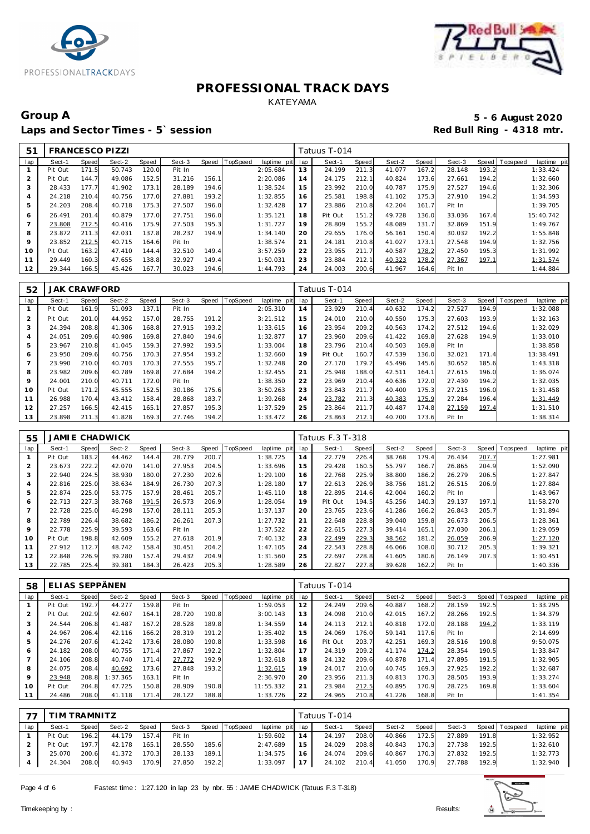



### Group A 5 - 6 August 2020<br>
Laps and Sector Times - 5`session **1990 and Sector Times - 5`session** Laps and Sector Times - 5' session

| 51             | <b>FRANCESCO PIZZI</b> |       |        |       |        |       |          |             |     | Tatuus T-014 |       |        |       |        |       |                 |             |
|----------------|------------------------|-------|--------|-------|--------|-------|----------|-------------|-----|--------------|-------|--------|-------|--------|-------|-----------------|-------------|
| lap            | Sect-1                 | Speed | Sect-2 | Speed | Sect-3 | Speed | TopSpeed | laptime pit | lap | Sect-1       | Speed | Sect-2 | Speed | Sect-3 |       | Speed Tops peed | laptime pit |
|                | Pit Out                | 171.5 | 50.743 | 120.0 | Pit In |       |          | 2:05.684    | 13  | 24.199       | 211.3 | 41.077 | 167.2 | 28.148 | 193.2 |                 | 1:33.424    |
| $\overline{2}$ | Pit Out                | 144.7 | 49.086 | 152.5 | 31.216 | 156.1 |          | 2:20.086    | 14  | 24.175       | 212.1 | 40.824 | 173.6 | 27.661 | 194.2 |                 | 1:32.660    |
| 3              | 28.433                 | 177.7 | 41.902 | 173.7 | 28.189 | 194.6 |          | 1:38.524    | 15  | 23.992       | 210.0 | 40.787 | 175.9 | 27.527 | 194.6 |                 | 1:32.306    |
| $\overline{A}$ | 24.218                 | 210.4 | 40.756 | 177.0 | 27.881 | 193.2 |          | 1:32.855    | 16  | 25.581       | 198.8 | 41.102 | 75.3  | 27.910 | 194.2 |                 | 1:34.593    |
| 5              | 24.203                 | 208.4 | 40.718 | 175.3 | 27.507 | 196.0 |          | 1:32.428    | 17  | 23.886       | 210.8 | 42.204 | 161.7 | Pit In |       |                 | 1:39.705    |
| 6              | 26.491                 | 201.4 | 40.879 | 177.0 | 27.751 | 196.0 |          | 1:35.121    | 18  | Pit Out      | 151.2 | 49.728 | 136.0 | 33.036 | 167.4 |                 | 15:40.742   |
|                | 23.808                 | 212.5 | 40.416 | 175.9 | 27.503 | 195.3 |          | 1:31.727    | 19  | 28.809       | 155.2 | 48.089 | 131.7 | 32.869 | 151.9 |                 | 1:49.767    |
| 8              | 23.872                 | 211.3 | 42.031 | 137.8 | 28.237 | 194.9 |          | 1:34.140    | 20  | 29.655       | 176.0 | 56.161 | 150.4 | 30.032 | 192.2 |                 | 1:55.848    |
| 9              | 23.852                 | 212.5 | 40.715 | 164.6 | Pit In |       |          | 1:38.574    | 21  | 24.181       | 210.8 | 41.027 | 173.1 | 27.548 | 194.9 |                 | 1:32.756    |
| 10             | Pit Out                | 163.2 | 47.410 | 144.4 | 32.510 | 149.4 |          | 3:57.259    | 22  | 23.955       | 211.7 | 40.587 | 178.2 | 27.450 | 195.3 |                 | 1:31.992    |
| 11             | 29.449                 | 160.3 | 47.655 | 138.8 | 32.927 | 149.4 |          | 1:50.031    | 23  | 23.884       | 212.1 | 40.323 | 178.2 | 27.367 | 197.1 |                 | 1:31.574    |
| 12             | 29.344                 | 166.5 | 45.426 | 167.7 | 30.023 | 194.6 |          | 1:44.793    | 24  | 24.003       | 200.6 | 41.967 | 164.6 | Pit In |       |                 | 1:44.884    |

| 52  | JAK CRAWFORD |       |        |       |        |       |          |             |     | Tatuus T-014 |       |        |       |        |       |          |             |
|-----|--------------|-------|--------|-------|--------|-------|----------|-------------|-----|--------------|-------|--------|-------|--------|-------|----------|-------------|
| lap | Sect-1       | Speed | Sect-2 | Speed | Sect-3 | Speed | TopSpeed | laptime pit | lap | Sect-1       | Speed | Sect-2 | Speed | Sect-3 | Speed | Topspeed | laptime pit |
|     | Pit Out      | 161.9 | 51.093 | 137.1 | Pit In |       |          | 2:05.310    | 14  | 23.929       | 210.4 | 40.632 | 174.2 | 27.527 | 194.9 |          | 1:32.088    |
| 2   | Pit Out      | 201.0 | 44.952 | 157.0 | 28.755 | 191.2 |          | 3:21.512    | 15  | 24.010       | 210.0 | 40.550 | 175.3 | 27.603 | 193.9 |          | 1:32.163    |
| 3   | 24.394       | 208.8 | 41.306 | 168.8 | 27.915 | 193.2 |          | 1:33.615    | 16  | 23.954       | 209.2 | 40.563 | 174.2 | 27.512 | 194.6 |          | 1:32.029    |
| 4   | 24.051       | 209.6 | 40.986 | 169.8 | 27.840 | 194.6 |          | 1:32.877    | 17  | 23.960       | 209.6 | 41.422 | 169.8 | 27.628 | 194.9 |          | 1:33.010    |
| 5   | 23.967       | 210.8 | 41.045 | 159.3 | 27.992 | 193.5 |          | 1:33.004    | 18  | 23.796       | 210.4 | 40.503 | 169.8 | Pit In |       |          | 1:38.858    |
| 6   | 23.950       | 209.6 | 40.756 | 170.3 | 27.954 | 193.2 |          | 1:32.660    | 19  | Pit Out      | 160.7 | 47.539 | 136.0 | 32.021 | 171.4 |          | 13:38.491   |
|     | 23.990       | 210.0 | 40.703 | 170.3 | 27.555 | 195.7 |          | 1:32.248    | 20  | 27.170       | 179.2 | 45.496 | 145.6 | 30.652 | 185.6 |          | 1:43.318    |
| 8   | 23.982       | 209.6 | 40.789 | 169.8 | 27.684 | 194.2 |          | 1:32.455    | 21  | 25.948       | 188.0 | 42.511 | 164.1 | 27.615 | 196.0 |          | 1:36.074    |
| 9   | 24.001       | 210.0 | 40.711 | 172.0 | Pit In |       |          | 1:38.350    | 22  | 23.969       | 210.4 | 40.636 | 172.0 | 27.430 | 194.2 |          | 1:32.035    |
| 10  | Pit Out      | 171.2 | 45.555 | 152.5 | 30.186 | 175.6 |          | 3:50.263    | 23  | 23.843       | 211.7 | 40.400 | 175.3 | 27.215 | 196.0 |          | 1:31.458    |
| 11  | 26.988       | 170.4 | 43.412 | 158.4 | 28.868 | 183.7 |          | 1:39.268    | 24  | 23.782       | 211.3 | 40.383 | 175.9 | 27.284 | 196.4 |          | 1:31.449    |
| 12  | 27.257       | 166.5 | 42.415 | 165.1 | 27.857 | 195.3 |          | 1:37.529    | 25  | 23.864       | 211.7 | 40.487 | 174.8 | 27.159 | 197.4 |          | 1:31.510    |
| 13  | 23.898       | 211.3 | 41.828 | 169.3 | 27.746 | 194.2 |          | 1:33.472    | 26  | 23.863       | 212.1 | 40.700 | 173.6 | Pit In |       |          | 1:38.314    |

| 55  |         |       | <b>JAMIE CHADWICK</b> |       |        |       |          |             |     | Tatuus F.3 T-318 |       |        |       |        |       |            |             |
|-----|---------|-------|-----------------------|-------|--------|-------|----------|-------------|-----|------------------|-------|--------|-------|--------|-------|------------|-------------|
| lap | Sect-1  | Speed | Sect-2                | Speed | Sect-3 | Speed | TopSpeed | laptime pit | lap | Sect-1           | Speed | Sect-2 | Speed | Sect-3 | Speed | T ops peed | laptime pit |
|     | Pit Out | 183.2 | 44.462                | 144.4 | 28.779 | 200.7 |          | 1:38.725    | 14  | 22.779           | 226.4 | 38.768 | 179.4 | 26.434 | 207.7 |            | 1:27.981    |
| 2   | 23.673  | 222.2 | 42.070                | 141.0 | 27.953 | 204.5 |          | 1:33.696    | 15  | 29.428           | 160.5 | 55.797 | 166.7 | 26.865 | 204.9 |            | 1:52.090    |
| 3   | 22.940  | 224.5 | 38.930                | 180.0 | 27.230 | 202.6 |          | 1:29.100    | 16  | 22.768           | 225.9 | 38.800 | 186.2 | 26.279 | 206.5 |            | 1:27.847    |
| 4   | 22.816  | 225.0 | 38.634                | 184.9 | 26.730 | 207.3 |          | 1:28.180    | 17  | 22.613           | 226.9 | 38.756 | 181.2 | 26.515 | 206.9 |            | 1:27.884    |
| 5   | 22.874  | 225.0 | 53.775                | 157.9 | 28.461 | 205.7 |          | 1:45.110    | 18  | 22.895           | 214.6 | 42.004 | 160.2 | Pit In |       |            | 1:43.967    |
| 6   | 22.713  | 227.3 | 38.768                | 191.5 | 26.573 | 206.9 |          | 1:28.054    | 19  | Pit Out          | 194.5 | 45.256 | 140.3 | 29.137 | 197.1 |            | 11:58.270   |
|     | 22.728  | 225.0 | 46.298                | 157.0 | 28.111 | 205.3 |          | 1:37.137    | 20  | 23.765           | 223.6 | 41.286 | 166.2 | 26.843 | 205.7 |            | 1:31.894    |
| 8   | 22.789  | 226.4 | 38.682                | 186.2 | 26.261 | 207.3 |          | 1:27.732    | 21  | 22.648           | 228.8 | 39.040 | 159.8 | 26.673 | 206.5 |            | 1:28.361    |
| 9   | 22.778  | 225.9 | 39.593                | 163.6 | Pit In |       |          | 1:37.522    | 22  | 22.615           | 227.3 | 39.414 | 165.1 | 27.030 | 206.1 |            | 1:29.059    |
| 10  | Pit Out | 198.8 | 42.609                | 155.2 | 27.618 | 201.9 |          | 7:40.132    | 23  | 22.499           | 229.3 | 38.562 | 181.2 | 26.059 | 206.9 |            | 1:27.120    |
| 11  | 27.912  | 112.7 | 48.742                | 158.4 | 30.451 | 204.2 |          | 1:47.105    | 24  | 22.543           | 228.8 | 46.066 | 108.0 | 30.712 | 205.3 |            | 1:39.321    |
| 12  | 22.848  | 226.9 | 39.280                | 157.4 | 29.432 | 204.9 |          | 1:31.560    | 25  | 22.697           | 228.8 | 41.605 | 180.6 | 26.149 | 207.3 |            | 1:30.451    |
| 13  | 22.785  | 225.4 | 39.381                | 184.3 | 26.423 | 205.3 |          | 1:28.589    | 26  | 22.827           | 227.8 | 39.628 | 162.2 | Pit In |       |            | 1:40.336    |

| 58      | ELIAS SEPPÄNEN |       |          |                  |        |       |          |             |     | Tatuus T-014 |       |        |       |        |       |                 |             |
|---------|----------------|-------|----------|------------------|--------|-------|----------|-------------|-----|--------------|-------|--------|-------|--------|-------|-----------------|-------------|
| lap     | Sect-1         | Speed | Sect-2   | Speed            | Sect-3 | Speed | TopSpeed | laptime pit | lap | Sect-1       | Speed | Sect-2 | Speed | Sect-3 |       | Speed Tops peed | laptime pit |
|         | Pit Out        | 192.7 | 44.277   | 159.8            | Pit In |       |          | 1:59.053    | 12  | 24.249       | 209.6 | 40.887 | 168.2 | 28.159 | 192.5 |                 | 1:33.295    |
|         | Pit Out        | 202.9 | 42.607   | 164.1            | 28.720 | 190.8 |          | 3:00.143    | 13  | 24.098       | 210.0 | 42.015 | 167.2 | 28.266 | 192.5 |                 | 1:34.379    |
| 3       | 24.544         | 206.8 | 41.487   | 167.2            | 28.528 | 189.8 |          | 1:34.559    | 14  | 24.113       | 212.1 | 40.818 | 172.0 | 28.188 | 194.2 |                 | 1:33.119    |
| 4       | 24.967         | 206.4 | 42.116   | 166.2            | 28.319 | 191.2 |          | 1:35.402    | 15  | 24.069       | 176.0 | 59.141 | 117.6 | Pit In |       |                 | 2:14.699    |
| 5       | 24.276         | 207.6 | 41.242   | 173.6            | 28.080 | 190.8 |          | 1:33.598    | 16  | Pit Out      | 203.7 | 42.251 | 169.3 | 28.516 | 190.8 |                 | 9:50.075    |
| 6       | 24.182         | 208.0 | 40.755   | 171<br>$\cdot$ 4 | 27.867 | 192.2 |          | 1:32.804    | 17  | 24.319       | 209.2 | 41.174 | 174.2 | 28.354 | 190.5 |                 | 1:33.847    |
|         | 24.106         | 208.8 | 40.740   | 171.4            | 27.772 | 192.9 |          | 1:32.618    | 18  | 24.132       | 209.6 | 40.878 | 171.4 | 27.895 | 191.5 |                 | 1:32.905    |
| 8       | 24.075         | 208.4 | 40.692   | 173.6            | 27.848 | 193.2 |          | 1:32.615    | 19  | 24.017       | 210.0 | 40.745 | 169.3 | 27.925 | 192.2 |                 | 1:32.687    |
| $\circ$ | 23.948         | 208.8 | 1:37.365 | 163.1            | Pit In |       |          | 2:36.970    | 20  | 23.956       | 211.3 | 40.813 | 170.3 | 28.505 | 193.9 |                 | 1:33.274    |
| 10      | Pit Out        | 204.8 | 47.725   | 150.8            | 28.909 | 190.8 |          | 11:55.332   | 21  | 23.984       | 212.5 | 40.895 | 170.9 | 28.725 | 169.8 |                 | 1:33.604    |
|         | 24.486         | 208.0 | 41.118   | 171<br>. 4       | 28.122 | 188.8 |          | 1:33.726    | 22  | 24.965       | 210.8 | 41.226 | 168.8 | Pit In |       |                 | 1:41.354    |

|     | TIM TRAMNITZ |       |        |       |        |       |          |                 |    | Tatuus T-014 |       |        |       |        |       |                |             |
|-----|--------------|-------|--------|-------|--------|-------|----------|-----------------|----|--------------|-------|--------|-------|--------|-------|----------------|-------------|
| lap | Sect-1       | Speed | Sect-2 | Speed | Sect-3 | Speed | TopSpeed | laptime pit lap |    | Sect-1       | Speed | Sect-2 | Speed | Sect-3 |       | Speed Topspeed | laptime pit |
|     | Pit Out      | 196.2 | 44.179 | 157.4 | Pit In |       |          | 1:59.602        | 14 | 24.197       | 208.0 | 40.866 | 172.5 | 27.889 | 191.8 |                | 1:32.952    |
|     | Pit Out      | 197.7 | 42.178 | 165.1 | 28.550 | 185.6 |          | 2:47.689        | 15 | 24.029       | 208.8 | 40.843 | 170.3 | 27.738 | 192.5 |                | 1:32.610    |
|     | 25.070       | 200.6 | 41.372 | 170.3 | 28.133 | 189.1 |          | 1:34.575        | 16 | 24.074       | 209.6 | 40.867 | 170.3 | 27.832 | 192.5 |                | 1:32.773    |
|     | 24.304       | 208.0 | 40.943 | 170.9 | 27.850 | 192.2 |          | 1:33.097        |    | 24.102 210.4 |       | 41.050 | 170.9 | 27.788 | 192.9 |                | 1:32.940    |

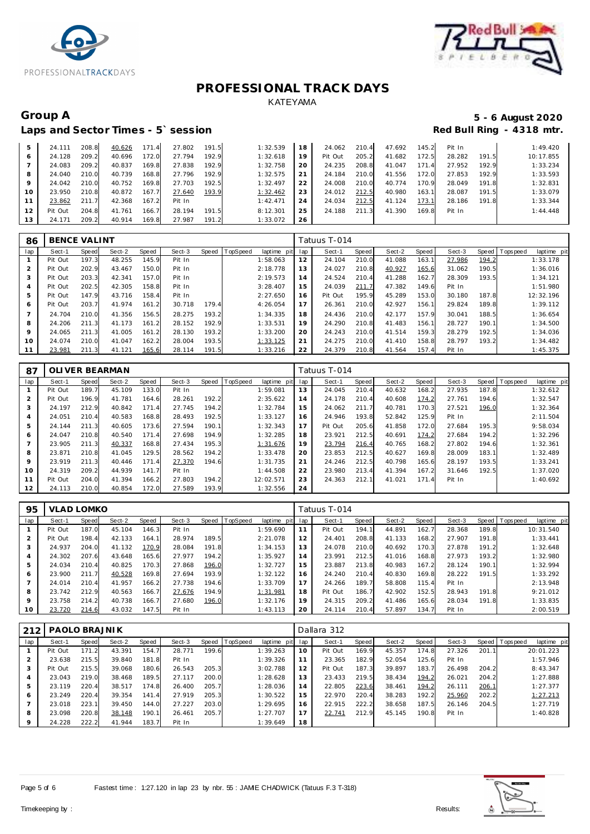



### Laps and Sector Times - 5' session

# Group A 5 - 6 August 2020<br>
Laps and Sector Times - 5`session **1990 and Sector Times - 5`session**

| 5               | 24.111  | 208.8 | 40.626 | 171.4 | 27.802 | 191.5 | 1:32.539 | 18 | 24.062  | 210.4 | 47.692 | 145.2            | Pit In |       | 1:49.420  |
|-----------------|---------|-------|--------|-------|--------|-------|----------|----|---------|-------|--------|------------------|--------|-------|-----------|
| 6               | 24.128  | 209.2 | 40.696 | 172.0 | 27.794 | 192.9 | 1:32.618 | 19 | Pit Out | 205.2 | 41.682 | 172.5            | 28.282 | 191.5 | 10:17.855 |
|                 | 24.083  | 209.2 | 40.837 | 169.8 | 27.838 | 192.9 | 1:32.758 | 20 | 24.235  | 208.8 | 41.047 | 171<br>$\cdot$ 4 | 27.952 | 192.9 | 1:33.234  |
| 8               | 24.040  | 210.0 | 40.739 | 168.8 | 27.796 | 192.9 | 1:32.575 | 21 | 24.184  | 210.0 | 41.556 | 72.0             | 27.853 | 192.9 | 1:33.593  |
| Q               | 24.042  | 210.0 | 40.752 | 169.8 | 27.703 | 192.5 | 1:32.497 | 22 | 24.008  | 210.0 | 40.774 | 170.9            | 28.049 | 191.8 | 1:32.831  |
| 10 <sup>°</sup> | 23.950  | 210.8 | 40.872 | 167.7 | 27.640 | 193.9 | 1:32.462 | 23 | 24.012  | 212.5 | 40.980 | 163.1            | 28.087 | 191.5 | 1:33.079  |
|                 | 23.862  | 211.7 | 42.368 | 167.2 | Pit In |       | 1:42.471 | 24 | 24.034  | 212.5 | 41.124 | 173.1            | 28.186 | 191.8 | 1:33.344  |
| 12              | Pit Out | 204.8 | 41.761 | 166.7 | 28.194 | 191.5 | 8:12.301 | 25 | 24.188  | 211.3 | 41.390 | 169.8            | Pit In |       | 1:44.448  |
| 13              | 24.171  | 209.2 | 40.914 | 169.8 | 27.987 | 191.2 | 1:33.072 | 26 |         |       |        |                  |        |       |           |

| 86             | <b>BENCE VALINT</b> |       |        |       |        |       |                |             |     | Tatuus T-014 |       |        |       |        |       |                                |
|----------------|---------------------|-------|--------|-------|--------|-------|----------------|-------------|-----|--------------|-------|--------|-------|--------|-------|--------------------------------|
| lap            | Sect-1              | Speed | Sect-2 | Speed | Sect-3 |       | Speed TopSpeed | laptime pit | lap | Sect-1       | Speed | Sect-2 | Speed | Sect-3 |       | Speed Tops peed<br>laptime pit |
|                | Pit Out             | 197.3 | 48.255 | 145.9 | Pit In |       |                | 1:58.063    | 12  | 24.104       | 210.0 | 41.088 | 163.1 | 27.986 | 194.2 | 1:33.178                       |
| 2              | Pit Out             | 202.9 | 43.467 | 150.0 | Pit In |       |                | 2:18.778    | 13  | 24.027       | 210.8 | 40.927 | 165.6 | 31.062 | 190.5 | 1:36.016                       |
| 3              | Pit Out             | 203.3 | 42.341 | 157.0 | Pit In |       |                | 2:19.573    | 14  | 24.524       | 210.4 | 41.288 | 162.7 | 28.309 | 193.5 | 1:34.121                       |
| $\overline{4}$ | Pit Out             | 202.5 | 42.305 | 158.8 | Pit In |       |                | 3:28.407    | 15  | 24.039       | 211.7 | 47.382 | 149.6 | Pit In |       | 1:51.980                       |
| 5              | Pit Out             | 147.9 | 43.716 | 158.4 | Pit In |       |                | 2:27.650    | 16  | Pit Out      | 195.9 | 45.289 | 153.0 | 30.180 | 187.8 | 12:32.196                      |
| 6              | Pit Out             | 203.7 | 41.974 | 161.2 | 30.718 | 179.4 |                | 4:26.054    | 17  | 26.361       | 210.0 | 42.927 | 156.1 | 29.824 | 189.8 | 1:39.112                       |
| $\overline{7}$ | 24.704              | 210.0 | 41.356 | 156.5 | 28.275 | 193.2 |                | 1:34.335    | 18  | 24.436       | 210.0 | 42.177 | 157.9 | 30.041 | 188.5 | 1:36.654                       |
| 8              | 24.206              | 211.3 | 41.173 | 161.2 | 28.152 | 192.9 |                | 1:33.531    | 19  | 24.290       | 210.8 | 41.483 | 156.1 | 28.727 | 190.1 | 1:34.500                       |
| 9              | 24.065              | 211.3 | 41.005 | 161.2 | 28.130 | 193.2 |                | 1:33.200    | 20  | 24.243       | 210.0 | 41.514 | 159.3 | 28.279 | 192.5 | 1:34.036                       |
| 10             | 24.074              | 210.0 | 41.047 | 162.2 | 28.004 | 193.5 |                | 1:33.125    | 21  | 24.275       | 210.0 | 41.410 | 158.8 | 28.797 | 193.2 | 1:34.482                       |
| 11             | 23.981              | 211.3 | 41.121 | 165.6 | 28.114 | 191.5 |                | 1:33.216    | 22  | 24.379       | 210.8 | 41.564 | 157.4 | Pit In |       | 1:45.375                       |

| 87  |         |       | OLI VER BEARMAN |       |        |       |                 |                |     | Tatuus T-014 |       |        |       |        |       |                |                |
|-----|---------|-------|-----------------|-------|--------|-------|-----------------|----------------|-----|--------------|-------|--------|-------|--------|-------|----------------|----------------|
| lap | Sect-1  | Speed | Sect-2          | Speed | Sect-3 | Speed | <b>TopSpeed</b> | laptime<br>pit | lap | Sect-1       | Speed | Sect-2 | Speed | Sect-3 |       | Speed Topspeed | laptime<br>pit |
|     | Pit Out | 189.7 | 45.109          | 133.0 | Pit In |       |                 | 1:59.081       | 13  | 24.045       | 210.4 | 40.632 | 168.2 | 27.935 | 187.8 |                | 1:32.612       |
| 2   | Pit Out | 196.9 | 41.781          | 164.6 | 28.261 | 192.2 |                 | 2:35.622       | 14  | 24.178       | 210.4 | 40.608 | 174.2 | 27.761 | 194.6 |                | 1:32.547       |
| 3   | 24.197  | 212.9 | 40.842          | 171.4 | 27.745 | 194.2 |                 | 1:32.784       | 15  | 24.062       | 211.7 | 40.781 | 170.3 | 27.521 | 196.0 |                | 1:32.364       |
| 4   | 24.051  | 210.4 | 40.583          | 168.8 | 28.493 | 192.5 |                 | 1:33.127       | 16  | 24.946       | 193.8 | 52.842 | 125.9 | Pit In |       |                | 2:11.504       |
| 5   | 24.144  | 211.3 | 40.605          | 173.6 | 27.594 | 190.1 |                 | 1:32.343       | 17  | Pit Out      | 205.6 | 41.858 | 172.0 | 27.684 | 195.3 |                | 9:58.034       |
| 6   | 24.047  | 210.8 | 40.540          | 171.4 | 27.698 | 194.9 |                 | 1:32.285       | 18  | 23.921       | 212.5 | 40.691 | 174.2 | 27.684 | 194.2 |                | 1:32.296       |
| 7   | 23.905  | 211.3 | 40.337          | 168.8 | 27.434 | 195.3 |                 | 1:31.676       | 19  | 23.794       | 216.4 | 40.765 | 168.2 | 27.802 | 194.6 |                | 1:32.361       |
| 8   | 23.871  | 210.8 | 41.045          | 129.5 | 28.562 | 194.2 |                 | 1:33.478       | 20  | 23.853       | 212.5 | 40.627 | 169.8 | 28.009 | 183.1 |                | 1:32.489       |
| 9   | 23.919  | 211.3 | 40.446          | 171.4 | 27.370 | 194.6 |                 | 1:31.735       | 21  | 24.246       | 212.5 | 40.798 | 165.6 | 28.197 | 193.5 |                | 1:33.241       |
| 10  | 24.319  | 209.2 | 44.939          | 141.7 | Pit In |       |                 | 1:44.508       | 22  | 23.980       | 213.4 | 41.394 | 167.2 | 31.646 | 192.5 |                | 1:37.020       |
| 11  | Pit Out | 204.0 | 41.394          | 166.2 | 27.803 | 194.2 |                 | 12:02.571      | 23  | 24.363       | 212.1 | 41.021 | 171.4 | Pit In |       |                | 1:40.692       |
| 12  | 24.113  | 210.0 | 40.854          | 172.0 | 27.589 | 193.9 |                 | 1:32.556       | 24  |              |       |        |       |        |       |                |                |

| 95      | VLAD LOMKO |                       |        |       |        |       |                  |                 |    | Tatuus T-014 |       |        |       |        |       |                                |
|---------|------------|-----------------------|--------|-------|--------|-------|------------------|-----------------|----|--------------|-------|--------|-------|--------|-------|--------------------------------|
| lap     | Sect-1     | Speed                 | Sect-2 | Speed | Sect-3 |       | Speed   TopSpeed | laptime pit lap |    | Sect-1       | Speed | Sect-2 | Speed | Sect-3 |       | Speed Tops peed<br>laptime pit |
|         | Pit Out    | 187.0                 | 45.104 | 146.3 | Pit In |       |                  | 1:59.690        | 11 | Pit Out      | 194.1 | 44.891 | 162.7 | 28.368 | 189.8 | 10:31.540                      |
|         | Pit Out    | 198.4                 | 42.133 | 164.1 | 28.974 | 189.5 |                  | 2:21.078        | 12 | 24.401       | 208.8 | 41.133 | 168.2 | 27.907 | 191.8 | 1:33.441                       |
|         | 24.937     | 204.0                 | 41.132 | 170.9 | 28.084 | 191.8 |                  | 1:34.153        | 13 | 24.078       | 210.0 | 40.692 | 170.3 | 27.878 | 191.2 | 1:32.648                       |
|         | 24.302     | 207.6                 | 43.648 | 165.6 | 27.977 | 194.2 |                  | 1:35.927        | 14 | 23.991       | 212.5 | 41.016 | 168.8 | 27.973 | 193.2 | 1:32.980                       |
| 5       | 24.034     | 210.4                 | 40.825 | 170.3 | 27.868 | 196.0 |                  | 1:32.727        | 15 | 23.887       | 213.8 | 40.983 | 167.2 | 28.124 | 190.1 | 1:32.994                       |
| 6       | 23.900     | 211<br>$\overline{7}$ | 40.528 | 169.8 | 27.694 | 193.9 |                  | 1:32.122        | 16 | 24.240       | 210.4 | 40.830 | 169.8 | 28.222 | 191.5 | 1:33.292                       |
|         | 24.014     | 210.4                 | 41.957 | 166.2 | 27.738 | 194.6 |                  | 1:33.709        | 17 | 24.266       | 189.7 | 58.808 | 115.4 | Pit In |       | 2:13.948                       |
| 8       | 23.742     | 212.9                 | 40.563 | 166.7 | 27.676 | 194.9 |                  | 1:31.981        | 18 | Pit Out      | 186.7 | 42.902 | 152.5 | 28.943 | 191.8 | 9:21.012                       |
| $\circ$ | 23.758     | 214.2                 | 40.738 | 166.7 | 27.680 | 196.0 |                  | 1:32.176        | 19 | 24.315       | 209.2 | 41.486 | 165.6 | 28.034 | 191.8 | 1:33.835                       |
| 10      | 23.720     | 214.6                 | 43.032 | 147.5 | Pit In |       |                  | 1:43.113        | 20 | 24.114       | 210.4 | 57.897 | 134.7 | Pit In |       | 2:00.519                       |

| 212 | PAOLO BRAJNIK |       |        |       |        |       |          |             | Dallara 312 |         |       |        |       |        |       |            |             |  |
|-----|---------------|-------|--------|-------|--------|-------|----------|-------------|-------------|---------|-------|--------|-------|--------|-------|------------|-------------|--|
| lap | Sect-1        | Speed | Sect-2 | Speed | Sect-3 | Speed | TopSpeed | laptime pit | lap         | Sect-1  | Speed | Sect-2 | Speed | Sect-3 | Speed | T ops peed | laptime pit |  |
|     | Pit Out       | 171.2 | 43.391 | 154.7 | 28.771 | 199.6 |          | 1:39.263    | 10          | Pit Out | 169.9 | 45.357 | 174.8 | 27.326 | 201.1 |            | 20:01.223   |  |
|     | 23.638        | 215.5 | 39.840 | 181.8 | Pit In |       |          | 1:39.326    | 11          | 23.365  | 182.9 | 52.054 | 125.6 | Pit In |       |            | 1:57.946    |  |
| 3   | Pit Out       | 215.5 | 39.068 | 180.6 | 26.543 | 205.3 |          | 3:02.788    | 12          | Pit Out | 187.3 | 39.897 | 183.7 | 26.498 | 204.2 |            | 8:43.347    |  |
|     | 23.043        | 219.0 | 38.468 | 189.5 | 27.117 | 200.0 |          | 1:28.628    | 13          | 23.433  | 219.5 | 38.434 | 194.2 | 26.021 | 204.2 |            | 1:27.888    |  |
|     | 23.119        | 220.4 | 38.517 | 174.8 | 26.400 | 205.7 |          | 1:28.036    | 14          | 22.805  | 223.6 | 38.461 | 194.2 | 26.111 | 206.1 |            | 1:27.377    |  |
| 6   | 23.249        | 220.4 | 39.354 | 141.4 | 27.919 | 205.3 |          | 1:30.522    | 15          | 22.970  | 220.4 | 38.283 | 192.2 | 25.960 | 202.2 |            | 1:27.213    |  |
|     | 23.018        | 223.1 | 39.450 | 144.0 | 27.227 | 203.0 |          | 1:29.695    | 16          | 22.915  | 222.2 | 38.658 | 187.5 | 26.146 | 204.5 |            | 1:27.719    |  |
| 8   | 23.098        | 220.8 | 38.148 | 190.1 | 26.461 | 205.7 |          | 1:27.707    | 17          | 22.741  | 212.9 | 45.145 | 190.8 | Pit In |       |            | 1:40.828    |  |
| 9   | 24.228        | 222.2 | 41.944 | 183.7 | Pit In |       |          | 1:39.649    | 18          |         |       |        |       |        |       |            |             |  |